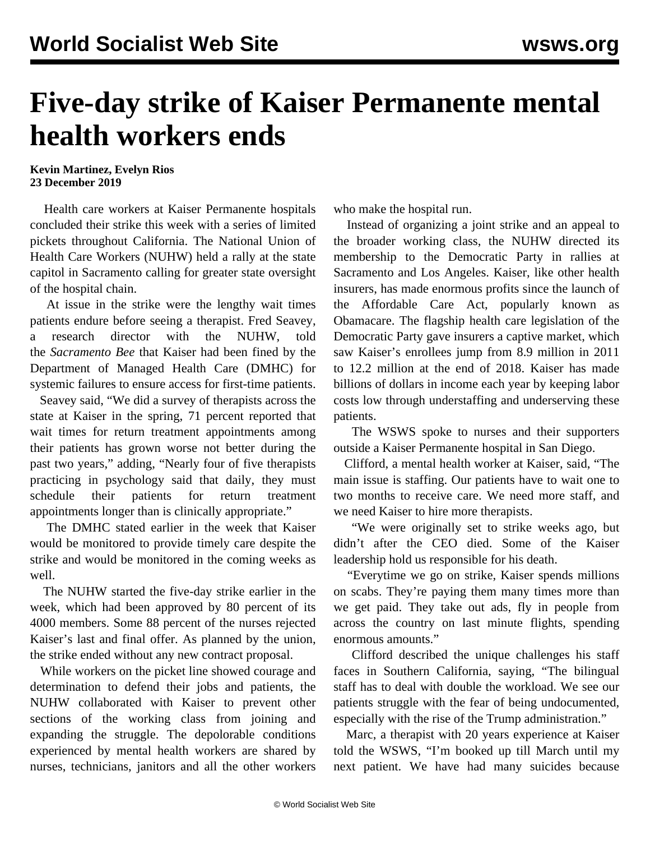## **Five-day strike of Kaiser Permanente mental health workers ends**

## **Kevin Martinez, Evelyn Rios 23 December 2019**

 Health care workers at Kaiser Permanente hospitals concluded their strike this week with a series of limited pickets throughout California. The National Union of Health Care Workers (NUHW) held a rally at the state capitol in Sacramento calling for greater state oversight of the hospital chain.

 At issue in the strike were the lengthy wait times patients endure before seeing a therapist. Fred Seavey, a research director with the NUHW, told the *Sacramento Bee* that Kaiser had been fined by the Department of Managed Health Care (DMHC) for systemic failures to ensure access for first-time patients.

 Seavey said, "We did a survey of therapists across the state at Kaiser in the spring, 71 percent reported that wait times for return treatment appointments among their patients has grown worse not better during the past two years," adding, "Nearly four of five therapists practicing in psychology said that daily, they must schedule their patients for return treatment appointments longer than is clinically appropriate."

 The DMHC stated earlier in the week that Kaiser would be monitored to provide timely care despite the strike and would be monitored in the coming weeks as well.

 The NUHW started the five-day strike earlier in the week, which had been approved by 80 percent of its 4000 members. Some 88 percent of the nurses rejected Kaiser's last and final offer. As planned by the union, the strike ended without any new contract proposal.

 While workers on the picket line showed courage and determination to defend their jobs and patients, the NUHW collaborated with Kaiser to prevent other sections of the working class from joining and expanding the struggle. The depolorable conditions experienced by mental health workers are shared by nurses, technicians, janitors and all the other workers

who make the hospital run.

 Instead of organizing a joint strike and an appeal to the broader working class, the NUHW directed its membership to the Democratic Party in rallies at Sacramento and Los Angeles. Kaiser, like other health insurers, has made enormous profits since the launch of the Affordable Care Act, popularly known as Obamacare. The flagship health care legislation of the Democratic Party gave insurers a captive market, which saw Kaiser's enrollees jump from 8.9 million in 2011 to 12.2 million at the end of 2018. Kaiser has made billions of dollars in income each year by keeping labor costs low through understaffing and underserving these patients.

 The WSWS spoke to nurses and their supporters outside a Kaiser Permanente hospital in San Diego.

 Clifford, a mental health worker at Kaiser, said, "The main issue is staffing. Our patients have to wait one to two months to receive care. We need more staff, and we need Kaiser to hire more therapists.

 "We were originally set to strike weeks ago, but didn't after the CEO died. Some of the Kaiser leadership hold us responsible for his death.

 "Everytime we go on strike, Kaiser spends millions on scabs. They're paying them many times more than we get paid. They take out ads, fly in people from across the country on last minute flights, spending enormous amounts."

 Clifford described the unique challenges his staff faces in Southern California, saying, "The bilingual staff has to deal with double the workload. We see our patients struggle with the fear of being undocumented, especially with the rise of the Trump administration."

 Marc, a therapist with 20 years experience at Kaiser told the WSWS, "I'm booked up till March until my next patient. We have had many suicides because